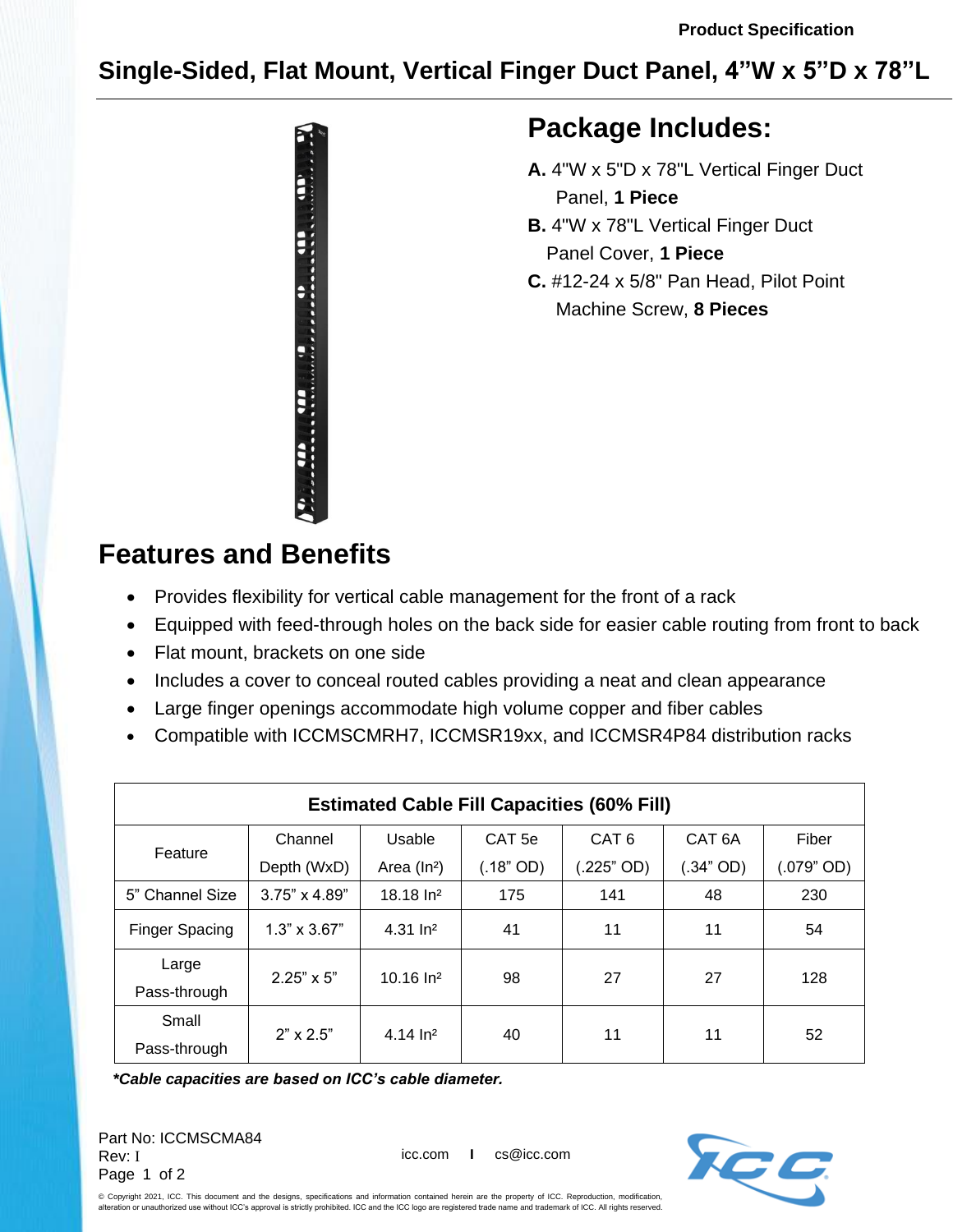## **Single-Sided, Flat Mount, Vertical Finger Duct Panel, 4"W x 5"D x 78"L**



## **Package Includes:**

- **A.** 4"W x 5"D x 78"L Vertical Finger Duct Panel, **1 Piece**
- **B.** 4"W x 78"L Vertical Finger Duct Panel Cover, **1 Piece**
- **C.** #12-24 x 5/8" Pan Head, Pilot Point Machine Screw, **8 Pieces**

## **Features and Benefits**

- Provides flexibility for vertical cable management for the front of a rack
- Equipped with feed-through holes on the back side for easier cable routing from front to back
- Flat mount, brackets on one side
- Includes a cover to conceal routed cables providing a neat and clean appearance
- Large finger openings accommodate high volume copper and fiber cables
- Compatible with ICCMSCMRH7, ICCMSR19xx, and ICCMSR4P84 distribution racks

| <b>Estimated Cable Fill Capacities (60% Fill)</b> |                      |                       |                   |                  |                    |            |
|---------------------------------------------------|----------------------|-----------------------|-------------------|------------------|--------------------|------------|
| Feature                                           | Channel              | Usable                | CAT <sub>5e</sub> | CAT <sub>6</sub> | CAT <sub>6</sub> A | Fiber      |
|                                                   | Depth (WxD)          | Area $(ln^2)$         | (.18" OD)         | $(225"$ OD)      | $.34"$ OD)         | (.079" OD) |
| 5" Channel Size                                   | $3.75" \times 4.89"$ | $18.18 \ln^2$         | 175               | 141              | 48                 | 230        |
| <b>Finger Spacing</b>                             | $1.3" \times 3.67"$  | $4.31 \, \text{ln}^2$ | 41                | 11               | 11                 | 54         |
| Large                                             | $2.25" \times 5"$    | $10.16$ $ln2$         | 98                | 27               | 27                 | 128        |
| Pass-through                                      |                      |                       |                   |                  |                    |            |
| Small                                             | $2" \times 2.5"$     | $4.14 \ln^2$          | 40                | 11               | 11                 | 52         |
| Pass-through                                      |                      |                       |                   |                  |                    |            |

*\*Cable capacities are based on ICC's cable diameter.*

Part No: ICCMSCMA84 Rev: I Page 1 of 2

icc.com **I** cs@icc.com



© Copyright 2021, ICC. This document and the designs, specifications and information contained herein are the property of ICC. Reproduction, modification, ,<br>Ion or unauthorized use without ICC's approval is strictly prohibited. ICC and the ICC logo are registered trade name and trademark of ICC. All rights reserved.